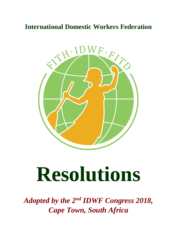# **International Domestic Workers Federation**



# **Resolutions**

*Adopted by the 2nd IDWF Congress 2018, Cape Town, South Africa*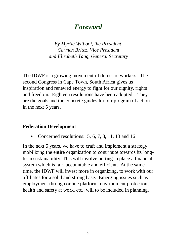# *Foreword*

*By Myrtle Witbooi, the President, Carmen Britez, Vice President and Elizabeth Tang, General Secretary*

The IDWF is a growing movement of domestic workers. The second Congress in Cape Town, South Africa gives us inspiration and renewed energy to fight for our dignity, rights and freedom. Eighteen resolutions have been adopted. They are the goals and the concrete guides for our program of action in the next 5 years.

#### **Federation Development**

Concerned resolutions: 5, 6, 7, 8, 11, 13 and 16

In the next 5 years, we have to craft and implement a strategy mobilizing the entire organization to contribute towards its longterm sustainability. This will involve putting in place a financial system which is fair, accountable and efficient. At the same time, the IDWF will invest more in organizing, to work with our affiliates for a solid and strong base. Emerging issues such as employment through online platform, environment protection, health and safety at work, etc., will to be included in planning.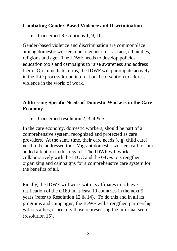#### **Combating Gender-Based Violence and Discrimination**

• Concerned Resolutions 1, 9, 10

Gender-based violence and discrimination are commonplace among domestic workers due to gender, class, race, ethnicities, religions and age. The IDWF needs to develop policies, education tools and campaigns to raise awareness and address them. On immediate terms, the IDWF will participate actively in the ILO process for an international convention to address violence in the world of work.

#### **Addressing Specific Needs of Domestic Workers in the Care Economy**

Concerned resolution 2, 3, 4 & 5

In the care economy, domestic workers, should be part of a comprehensive system, recognized and protected as care providers. At the same time, their care needs (e.g. child care) need to be addressed too. Migrant domestic workers call for our added attention in this regard. The IDWF will work collaboratively with the ITUC and the GUFs to strengthen organizing and campaigns for a comprehensive care system for the benefits of all.

Finally, the IDWF will work with its affiliates to achieve ratification of the C189 in at least 10 countries in the next 5 years (refer to Resolution 12  $& 14$ ). To do this and in all its programs and campaigns, the IDWF will strengthen partnership with its allies, especially those representing the informal sector (resolution 15).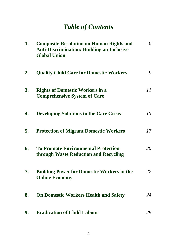# *Table of Contents*

| 1. | <b>Composite Resolution on Human Rights and</b><br><b>Anti-Discrimination: Building an Inclusive</b><br><b>Global Union</b> | 6  |
|----|-----------------------------------------------------------------------------------------------------------------------------|----|
| 2. | <b>Quality Child Care for Domestic Workers</b>                                                                              | 9  |
| 3. | <b>Rights of Domestic Workers in a</b><br><b>Comprehensive System of Care</b>                                               | II |
| 4. | <b>Developing Solutions to the Care Crisis</b>                                                                              | 15 |
| 5. | <b>Protection of Migrant Domestic Workers</b>                                                                               | 17 |
| 6. | <b>To Promote Environmental Protection</b><br>through Waste Reduction and Recycling                                         | 20 |
| 7. | <b>Building Power for Domestic Workers in the</b><br><b>Online Economy</b>                                                  | 22 |
| 8. | <b>On Domestic Workers Health and Safety</b>                                                                                | 24 |
| 9. | <b>Eradication of Child Labour</b>                                                                                          | 28 |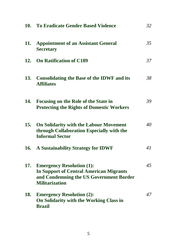|            | 10. To Eradicate Gender Based Violence                                                                                                                 | 32 |
|------------|--------------------------------------------------------------------------------------------------------------------------------------------------------|----|
| 11.        | <b>Appointment of an Assistant General</b><br><b>Secretary</b>                                                                                         | 35 |
|            | 12. On Ratification of C189                                                                                                                            | 37 |
| 13.        | <b>Consolidating the Base of the IDWF and its</b><br><b>Affiliates</b>                                                                                 | 38 |
| 14.        | Focusing on the Role of the State in<br><b>Protecting the Rights of Domestic Workers</b>                                                               | 39 |
| 15.        | <b>On Solidarity with the Labour Movement</b><br>through Collaboration Especially with the<br><b>Informal Sector</b>                                   | 40 |
| 16.        | <b>A Sustainability Strategy for IDWF</b>                                                                                                              | 41 |
| 17.        | <b>Emergency Resolution (1):</b><br><b>In Support of Central American Migrants</b><br>and Condemning the US Government Border<br><b>Militarization</b> | 45 |
| <b>18.</b> | <b>Emergency Resolution (2):</b><br>On Solidarity with the Working Class in<br><b>Brazil</b>                                                           | 47 |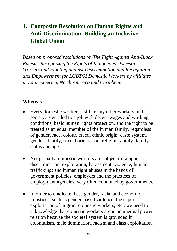# **1. Composite Resolution on Human Rights and Anti-Discrimination: Building an Inclusive Global Union**

*Based on proposed resolutions on The Fight Against Anti-Black Racism, Recognizing the Rights of Indigenous Domestic Workers and Fighting against Discrimination and Recognition and Empowerment for LGBTQI Domestic Workers by affiliates in Latin America, North America and Caribbean*.

#### **Whereas**

- Every domestic worker, just like any other workers in the society, is entitled to a job with decent wages and working conditions, basic human rights protection, and the right to be treated as an equal member of the human family, regardless of gender, race, colour, creed, ethnic origin, caste system, gender identity, sexual orientation, religion, ability, family status and age.
- Yet globally, domestic workers are subject to rampant discrimination, exploitation, harassment, violence, human trafficking; and human right abuses in the hands of government policies, employers and the practices of employment agencies, very often condoned by governments.
- In order to eradicate these gender, racial and economic injustices, such as gender-based violence, the super exploitation of migrant domestic workers, etc., we need to acknowledge that domestic workers are in an unequal power relation because the societal system is grounded in colonialism, male domination, racism and class exploitation.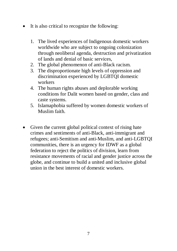- It is also critical to recognize the following:
	- 1. The lived experiences of Indigenous domestic workers worldwide who are subject to ongoing colonization through neoliberal agenda, destruction and privatization of lands and denial of basic services,
	- 2. The global phenomenon of anti-Black racism.
	- 3. The disproportionate high levels of oppression and discrimination experienced by LGBTQI domestic workers
	- 4. The human rights abuses and deplorable working conditions for Dalit women based on gender, class and caste systems.
	- 5. Islamaphobia suffered by women domestic workers of Muslim faith.
- Given the current global political context of rising hate crimes and sentiments of anti-Black, anti-immigrant and refugees; anti-Semitism and anti-Muslim, and anti-LGBTQI communities, there is an urgency for IDWF as a global federation to reject the politics of division, learn from resistance movements of racial and gender justice across the globe, and continue to build a united and inclusive global union in the best interest of domestic workers.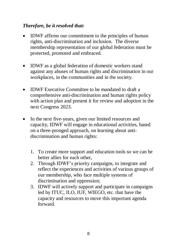#### *Therefore, be it resolved that:*

- IDWF affirms our commitment to the principles of human rights, anti-discrimination and inclusion. The diverse membership representation of our global federation must be protected, promoted and embraced.
- IDWF as a global federation of domestic workers stand against any abuses of human rights and discrimination in our workplaces, in the communities and in the society.
- IDWF Executive Committee to be mandated to draft a comprehensive anti-discrimination and human rights policy with action plan and present it for review and adoption in the next Congress 2023.
- In the next five-years, given our limited resources and capacity, IDWF will engage in educational activities, based on a three-pronged approach, on learning about antidiscrimination and human rights:
	- 1. To create more support and education tools so we can be better allies for each other,
	- 2. Through IDWF's priority campaigns, to integrate and reflect the experiences and activities of various groups of our membership, who face multiple systems of discrimination and oppression;
	- 3. IDWF will actively support and participate in campaigns led by ITUC, ILO, IUF, WIEGO, etc. that have the capacity and resources to move this important agenda forward.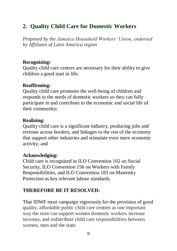# **2. Quality Child Care for Domestic Workers**

*Proposed by the Jamaica Household Workers' Union, endorsed by Affiliates of Latin America region*

#### **Recognizing:**

Quality child care centres are necessary for their ability to give children a good start in life;

#### **Reaffirming:**

Quality child care promotes the well-being of children and responds to the needs of domestic workers so they can fully participate in and contribute to the economic and social life of their community;

#### **Realizing:**

Quality child care is a significant industry, producing jobs and revenue across borders, and linkages to the rest of the economy that support other industries and stimulate even more economic activity; and

#### **Acknowledging:**

Child care is recognized in ILO Convention 102 on Social Security, ILO Convention 156 on Workers with Family Responsibilities, and ILO Convention 183 on Maternity Protection as key relevant labour standards.

#### **THEREFORE BE IT RESOLVED:**

That IDWF must campaign vigorously for the provision of good quality, affordable public child care centres as one important way the state can support women domestic workers increase incomes, and redistribute child care responsibilities between women, men and the state.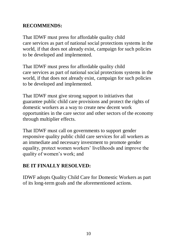#### **RECOMMENDS:**

That IDWF must press for affordable quality child care services as part of national social protections systems in the world, if that does not already exist, campaign for such policies to be developed and implemented.

That IDWF must press for affordable quality child care services as part of national social protections systems in the world, if that does not already exist, campaign for such policies to be developed and implemented.

That IDWF must give strong support to initiatives that guarantee public child care provisions and protect the rights of domestic workers as a way to create new decent work opportunities in the care sector and other sectors of the economy through multiplier effects.

That IDWF must call on governments to support gender responsive quality public child care services for all workers as an immediate and necessary investment to promote gender equality, protect women workers' livelihoods and improve the quality of women's work; and

#### **BE IT FINALLY RESOLVED:**

IDWF adopts Quality Child Care for Domestic Workers as part of its long-term goals and the aforementioned actions.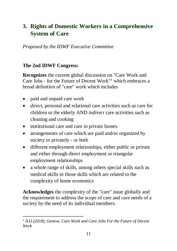# **3. Rights of Domestic Workers in a Comprehensive System of Care**

*Proposed by the IDWF Executive Committee*

#### **The 2nd IDWF Congress:**

**Recognizes** the current global discussion on "Care Work and Care Jobs - for the Future of Decent Work"<sup>1</sup> which embraces a broad definition of "care" work which includes

- paid and unpaid care work
- *direct*, personal and relational care activities such as care for children or the elderly AND *indirect* care activities such as cleaning and cooking
- institutional care and care in private homes
- arrangements of care which are paid and/or organized by society or privately - or both
- different employment relationships, either public or private and either through direct employment or triangular employment relationships
- a whole range of skills, among others special skills such as medical skills or those skills which are related to the complexity of home economics

**Acknowledges** the complexity of the "care" issue globally and the requirement to address the scope of care and care needs of a society by the need of its individual members.

**<sup>.</sup>** <sup>1</sup> ILO (2018), Geneva. Care Work and Care Jobs For the Future of Decent *Work*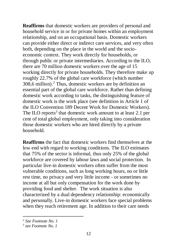**Reaffirms** that domestic workers are providers of personal and household service in or for private homes within an employment relationship, and on an occupational basis. Domestic workers can provide either direct or indirect care services, and very often both, depending on the place in the world and the socioeconomic context. They work directly for households, or through public or private intermediaries. According to the ILO, there are 70 million domestic workers over the age of 15 working directly for private households. They therefore make up roughly 22.7% of the global care workforce (which number 308,6 million).<sup>2</sup> Thus, domestic workers are by definition an essential part of the global care workforce. Rather than defining domestic work according to tasks, the distinguishing feature of domestic work is the work place (see definition in Article 1 of the ILO Convention 189 Decent Work for Domestic Workers). The ILO reports<sup>3</sup> that domestic work amount to at least 2.1 per cent of total global employment, only taking into consideration those domestic workers who are hired directly by a private household.

**Reaffirms** the fact that domestic workers find themselves at the low end with regard to working conditions. The ILO estimates that 75% of the sector is informal, thus only 25% of the global workforce are covered by labour laws and social protection. In particular live-in domestic workers often suffer from the most vulnerable conditions, such as long working hours, no or little rest time, no privacy and very little income - or sometimes no income at all but only compensation for the work done by providing food and shelter. The work situation is also characterized by a dual dependency relationship: economically and personally. Live-in domestic workers face special problems when they reach retirement age. In addition to their care needs

**.** 

*<sup>2</sup> See Footnote No. 1*

*<sup>3</sup> see Footnote No. 1*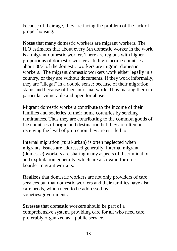because of their age, they are facing the problem of the lack of proper housing.

**Notes** that many domestic workers are migrant workers. The ILO estimates that about every 5th domestic worker in the world is a migrant domestic worker. There are regions with higher proportions of domestic workers. In high income countries about 80% of the domestic workers are migrant domestic workers. The migrant domestic workers work either legally in a country, or they are without documents. If they work informally, they are "illegal" in a double sense: because of their migration status and because of their informal work. Thus making them in particular vulnerable and open for abuse.

Migrant domestic workers contribute to the income of their families and societies of their home countries by sending remittances. Thus they are contributing to the common goods of the countries of origin and destination but they are often not receiving the level of protection they are entitled to.

Internal migration (rural-urban) is often neglected when migrants' issues are addressed generally. Internal migrant (domestic) workers are sharing many aspects of discrimination and exploitation generally, which are also valid for cross boarder migrant workers.

**Realizes** that domestic workers are not only providers of care services but that domestic workers and their families have also care needs, which need to be addressed by societies/governments.

**Stresses** that domestic workers should be part of a comprehensive system, providing care for all who need care, preferably organized as a public service.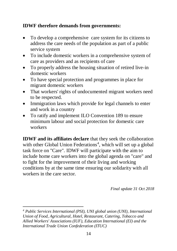#### **IDWF therefore demands from governments:**

- To develop a comprehensive care system for its citizens to address the care needs of the population as part of a public service system
- To include domestic workers in a comprehensive system of care as providers and as recipients of care
- To properly address the housing situation of retired live-in domestic workers
- To have special protection and programmes in place for migrant domestic workers
- That workers' rights of undocumented migrant workers need to be respected.
- Immigration laws which provide for legal channels to enter and work in a country
- To ratify and implement ILO Convention 189 to ensure minimum labour and social protection for domestic care workers

**IDWF and its affiliates declare** that they seek the collaboration with other Global Union Federations<sup>4</sup>, which will set up a global task force on "Care". IDWF will participate with the aim to include home care workers into the global agenda on "care" and to fight for the improvement of their living and working conditions by at the same time ensuring our solidarity with all workers in the care sector.

*Final update 31 Oct 2018* 

-*<sup>4</sup> Public Services International (PSI), UNI global union (UNI), International Union of Food, Agricultural, Hotel, Restaurant, Catering, Tobacco and Allied Workers' Associations (IUF), Education International (EI) and the International Trade Union Confederation (ITUC)*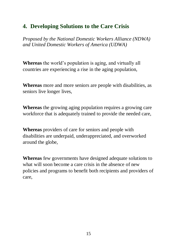# **4. Developing Solutions to the Care Crisis**

*Proposed by the National Domestic Workers Alliance (NDWA) and United Domestic Workers of America (UDWA)*

**Whereas** the world's population is aging, and virtually all countries are experiencing a rise in the aging population,

**Whereas** more and more seniors are people with disabilities, as seniors live longer lives,

**Whereas** the growing aging population requires a growing care workforce that is adequately trained to provide the needed care,

**Whereas** providers of care for seniors and people with disabilities are underpaid, underappreciated, and overworked around the globe,

**Whereas** few governments have designed adequate solutions to what will soon become a care crisis in the absence of new policies and programs to benefit both recipients and providers of care,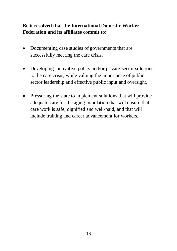#### **Be it resolved that the International Domestic Worker Federation and its affiliates commit to:**

- Documenting case studies of governments that are successfully meeting the care crisis,
- Developing innovative policy and/or private-sector solutions to the care crisis, while valuing the importance of public sector leadership and effective public input and oversight,
- Pressuring the state to implement solutions that will provide adequate care for the aging population that will ensure that care work is safe, dignified and well-paid, and that will include training and career advancement for workers.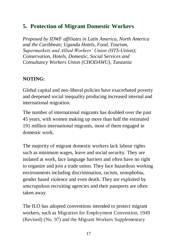# **5. Protection of Migrant Domestic Workers**

*Proposed by IDWF affiliates in Latin America, North America and the Caribbean; Uganda Hotels, Food, Tourism, Supermarkets and Allied Workers' Union (HTS-Union); Conservation, Hotels, Domestic, Social Services and Consultancy Workers Union (CHODAWU), Tanzania*

#### **NOTING:**

Global capital and neo-liberal policies have exacerbated poverty and deepened social inequality producing increased internal and international migration.

The number of international migrants has doubled over the past 45 years, with women making up more than half the estimated 191 million international migrants, most of them engaged in domestic work.

The majority of migrant domestic workers lack labour rights such as minimum wages, leave and social security. They are isolated at work, face language barriers and often have no right to organize and join a trade union. They face hazardous working environments including discrimination, racism, xenophobia, gender based violence and even death. They are exploited by unscrupulous recruiting agencies and their passports are often taken away.

The ILO has adopted conventions intended to protect migrant workers, such as Migration for Employment Convention, 1949 (Revised) (No. 97) and the Migrant Workers Supplementary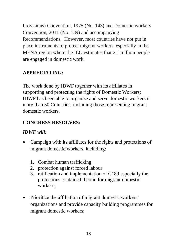Provisions) Convention, 1975 (No. 143) and Domestic workers Convention, 2011 (No. 189) and accompanying Recommendations. However, most countries have not put in place instruments to protect migrant workers, especially in the MENA region where the ILO estimates that 2.1 million people are engaged in domestic work.

### **APPRECIATING:**

The work done by IDWF together with its affiliates in supporting and protecting the rights of Domestic Workers; IDWF has been able to organize and serve domestic workers in more than 50 Countries, including those representing migrant domestic workers.

#### **CONGRESS RESOLVES:**

#### *IDWF will:*

- Campaign with its affiliates for the rights and protections of migrant domestic workers, including:
	- 1. Combat human trafficking
	- 2. protection against forced labour
	- 3. ratification and implementation of C189 especially the protections contained therein for migrant domestic workers;
- Prioritize the affiliation of migrant domestic workers' organizations and provide capacity building programmes for migrant domestic workers;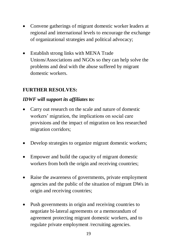- Convene gatherings of migrant domestic worker leaders at regional and international levels to encourage the exchange of organizational strategies and political advocacy;
- Establish strong links with MENA Trade Unions/Associations and NGOs so they can help solve the problems and deal with the abuse suffered by migrant domestic workers.

#### **FURTHER RESOLVES:**

#### *IDWF will support its affiliates to:*

- Carry out research on the scale and nature of domestic workers' migration, the implications on social care provisions and the impact of migration on less researched migration corridors;
- Develop strategies to organize migrant domestic workers;
- Empower and build the capacity of migrant domestic workers from both the origin and receiving countries;
- Raise the awareness of governments, private employment agencies and the public of the situation of migrant DWs in origin and receiving countries;
- Push governments in origin and receiving countries to negotiate bi-lateral agreements or a memorandum of agreement protecting migrant domestic workers, and to regulate private employment /recruiting agencies.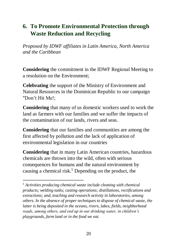# **6. To Promote Environmental Protection through Waste Reduction and Recycling**

*Proposed by IDWF affiliates in Latin America, North America and the Caribbean*

**Considering** the commitment in the IDWF Regional Meeting to a resolution on the Environment;

**Celebrating** the support of the Ministry of Environment and Natural Resources in the Dominican Republic to our campaign "Don't Hit Me!;

**Considering** that many of us domestic workers used to work the land as farmers with our families and we suffer the impacts of the contamination of our lands, rivers and seas.

**Considering** that our families and communities are among the first affected by pollution and the lack of application of environmental legislation in our countries

**Considering** that in many Latin American countries, hazardous chemicals are thrown into the wild, often with serious consequences for humans and the natural environment by causing a chemical risk.<sup>5</sup> Depending on the product, the

1

*<sup>5</sup> Activities producing chemical waste include cleaning with chemical products; welding tasks; casting operations; distillations, rectifications and extractions; and, teaching and research activity in laboratories, among others. In the absence of proper techniques to dispose of chemical waste, the latter is being deposited in the oceans, rivers, lakes, fields, neighborhood roads, among others, and end up in our drinking water, in children's playgrounds, farm land or in the food we eat.*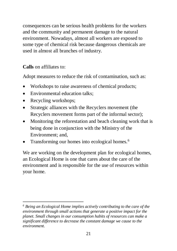consequences can be serious health problems for the workers and the community and permanent damage to the natural environment. Nowadays, almost all workers are exposed to some type of chemical risk because dangerous chemicals are used in almost all branches of industry.

#### **Calls** on affiliates to:

Adopt measures to reduce the risk of contamination, such as:

- Workshops to raise awareness of chemical products;
- Environmental education talks:
- Recycling workshops;

-

- Strategic alliances with the Recyclers movement (the Recyclers movement forms part of the informal sector);
- Monitoring the reforestation and beach cleaning work that is being done in conjunction with the Ministry of the Environment; and,
- Transforming our homes into ecological homes.<sup>6</sup>

We are working on the development plan for ecological homes, an Ecological Home is one that cares about the care of the environment and is responsible for the use of resources within your home.

*<sup>6</sup> Being an Ecological Home implies actively contributing to the care of the environment through small actions that generate a positive impact for the planet. Small changes in our consumption habits of resources can make a significant difference to decrease the constant damage we cause to the environment.*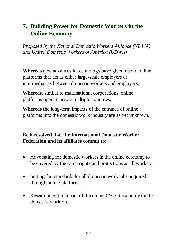# **7. Building Power for Domestic Workers in the Online Economy**

*Proposed by the National Domestic Workers Alliance (NDWA) and United Domestic Workers of America (UDWA)*

**Whereas** new advances in technology have given rise to online platforms that act as either large-scale employers or intermediaries between domestic workers and employers,

**Whereas**, similar to multinational corporations, online platforms operate across multiple countries,

**Whereas** the long-term impacts of the entrance of online platforms into the domestic work industry are as yet unknown,

#### **Be it resolved that the International Domestic Worker Federation and its affiliates commit to:**

- Advocating for domestic workers in the online economy to be covered by the same rights and protections as all workers
- Setting fair standards for all domestic work jobs acquired through online platforms
- Researching the impact of the online ("gig") economy on the domestic workforce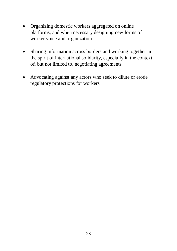- Organizing domestic workers aggregated on online platforms, and when necessary designing new forms of worker voice and organization
- Sharing information across borders and working together in the spirit of international solidarity, especially in the context of, but not limited to, negotiating agreements
- Advocating against any actors who seek to dilute or erode regulatory protections for workers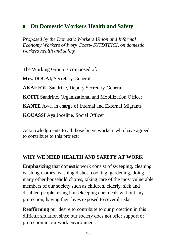### **8. On Domestic Workers Health and Safety**

*Proposed by the Domestic Workers Union and Informal Economy Workers of Ivory Coast- SYTDTEICI, on domestic workers health and safety*

The Working Group is composed of:

**Mrs. DOUAI,** Secretary-General

**AKAFFOU** Sandrine, Deputy Secretary-General

**KOFFI** Sandrine, Organizational and Mobilization Officer

**KANTE** Awa, in charge of Internal and External Migrants

**KOUASSI** Aya Joceline, Social Officer

Acknowledgments to all those brave workers who have agreed to contribute to this project:

#### **WHY WE NEED HEALTH AND SAFETY AT WORK**

**Emphasizing** that domestic work consist of sweeping, cleaning, washing clothes, washing dishes, cooking, gardening, doing many other household chores, taking care of the most vulnerable members of our society such as children, elderly, sick and disabled people, using housekeeping chemicals without any protection, having their lives exposed to several risks:

**Reaffirming** our desire to contribute to our protection in this difficult situation since our society does not offer support or protection in our work environment: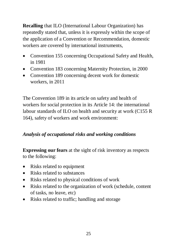**Recalling** that ILO (International Labour Organization) has repeatedly stated that, unless it is expressly within the scope of the application of a Convention or Recommendation, domestic workers are covered by international instruments,

- Convention 155 concerning Occupational Safety and Health, in 1981
- Convention 183 concerning Maternity Protection, in 2000
- Convention 189 concerning decent work for domestic workers, in 2011

The Convention 189 in its article on safety and health of workers for social protection in its Article 14: the international labour standards of ILO on health and security at work (C155 R 164), safety of workers and work environment:

#### *Analysis of occupational risks and working conditions*

**Expressing our fears** at the sight of risk inventory as respects to the following:

- Risks related to equipment
- Risks related to substances
- Risks related to physical conditions of work
- Risks related to the organization of work (schedule, content of tasks, no leave, etc)
- Risks related to traffic; handling and storage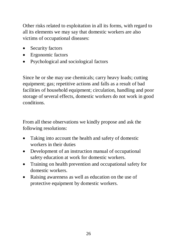Other risks related to exploitation in all its forms, with regard to all its elements we may say that domestic workers are also victims of occupational diseases:

- Security factors
- Ergonomic factors
- Psychological and sociological factors

Since he or she may use chemicals; carry heavy loads; cutting equipment; gas; repetitive actions and falls as a result of bad facilities of household equipment; circulation, handling and poor storage of several effects, domestic workers do not work in good conditions.

From all these observations we kindly propose and ask the following resolutions:

- Taking into account the health and safety of domestic workers in their duties
- Development of an instruction manual of occupational safety education at work for domestic workers.
- Training on health prevention and occupational safety for domestic workers.
- Raising awareness as well as education on the use of protective equipment by domestic workers.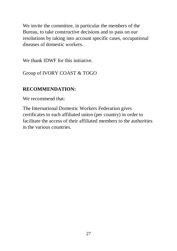We invite the committee, in particular the members of the Bureau, to take constructive decisions and to pass on our resolutions by taking into account specific cases, occupational diseases of domestic workers.

We thank IDWF for this initiative.

Group of IVORY COAST & TOGO

#### **RECOMMENDATION:**

We recommend that:

The International Domestic Workers Federation gives certificates to each affiliated union (per country) in order to facilitate the access of their affiliated members to the authorities in the various countries.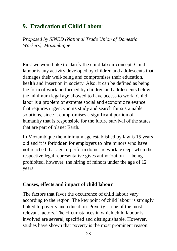# **9. Eradication of Child Labour**

*Proposed by SINED (National Trade Union of Domestic Workers), Mozambique*

First we would like to clarify the child labour concept. Child labour is any activity developed by children and adolescents that damages their well-being and compromises their education, health and insertion in society. Also, it can be defined as being the form of work performed by children and adolescents below the minimum legal age allowed to have access to work. Child labor is a problem of extreme social and economic relevance that requires urgency in its study and search for sustainable solutions, since it compromises a significant portion of humanity that is responsible for the future survival of the states that are part of planet Earth.

In Mozambique the minimum age established by law is 15 years old and it is forbidden for employers to hire minors who have not reached that age to perform domestic work, except when the respective legal representative gives authorization — being prohibited, however, the hiring of minors under the age of 12 years.

#### **Causes, effects and impact of child labour**

The factors that favor the occurrence of child labour vary according to the region. The key point of child labour is strongly linked to poverty and education. Poverty is one of the most relevant factors. The circumstances in which child labour is involved are several, specified and distinguishable. However, studies have shown that poverty is the most prominent reason.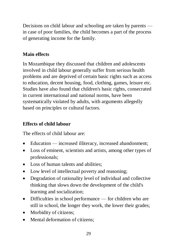Decisions on child labour and schooling are taken by parents in case of poor families, the child becomes a part of the process of generating income for the family.

#### **Main effects**

In Mozambique they discussed that children and adolescents involved in child labour generally suffer from serious health problems and are deprived of certain basic rights such as access to education, decent housing, food, clothing, games, leisure etc. Studies have also found that children's basic rights, consecrated in current international and national norms, have been systematically violated by adults, with arguments allegedly based on principles or cultural factors.

#### **Effects of child labour**

The effects of child labour are:

- Education increased illiteracy, increased abandonment;
- Loss of eminent, scientists and artists, among other types of professionals;
- Loss of human talents and abilities;
- Low level of intellectual poverty and reasoning;
- Degradation of rationality level of individual and collective thinking that slows down the development of the child's learning and socialization;
- Difficulties in school performance for children who are still in school, the longer they work, the lower their grades;
- Morbidity of citizens:
- Mental deformation of citizens: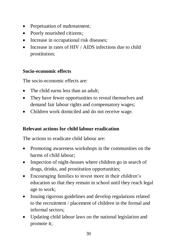- Perpetuation of maltreatment;
- Poorly nourished citizens;
- Increase in occupational risk diseases;
- Increase in rates of HIV / AIDS infections due to child prostitution;

#### **Socio-economic effects**

The socio-economic effects are:

- The child earns less than an adult;
- They have fewer opportunities to reveal themselves and demand fair labour rights and compensatory wages;
- Children work domiciled and do not receive wage.

#### **Relevant actions for child labour eradication**

The actions to eradicate child labour are:

- Promoting awareness workshops in the communities on the harms of child labour;
- Inspection of night-houses where children go in search of drugs, drinks, and prostitution opportunities;
- Encouraging families to invest more in their children's education so that they remain in school until they reach legal age to work;
- Issuing rigorous guidelines and develop regulations related to the recruitment / placement of children in the formal and informal sectors;
- Updating child labour laws on the national legislation and promote it;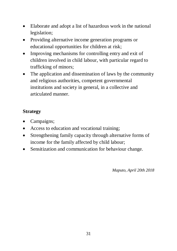- Elaborate and adopt a list of hazardous work in the national legislation;
- Providing alternative income generation programs or educational opportunities for children at risk;
- Improving mechanisms for controlling entry and exit of children involved in child labour, with particular regard to trafficking of minors;
- The application and dissemination of laws by the community and religious authorities, competent governmental institutions and society in general, in a collective and articulated manner.

#### **Strategy**

- Campaigns;
- Access to education and vocational training;
- Strengthening family capacity through alternative forms of income for the family affected by child labour;
- Sensitization and communication for behaviour change.

*Maputo, April 20th 2018*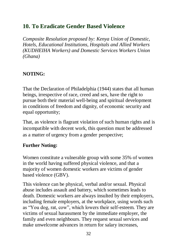# **10. To Eradicate Gender Based Violence**

*Composite Resolution proposed by: Kenya Union of Domestic, Hotels, Educational Institutions, Hospitals and Allied Workers (KUDHEIHA Workers) and Domestic Services Workers Union (Ghana)*

#### **NOTING:**

That the Declaration of Philadelphia (1944) states that all human beings, irrespective of race, creed and sex, have the right to pursue both their material well-being and spiritual development in conditions of freedom and dignity, of economic security and equal opportunity;

That, as violence is flagrant violation of such human rights and is incompatible with decent work, this question must be addressed as a matter of urgency from a gender perspective;

#### **Further Noting:**

Women constitute a vulnerable group with some 35% of women in the world having suffered physical violence, and that a majority of women domestic workers are victims of gender based violence (GBV).

This violence can be physical, verbal and/or sexual. Physical abuse includes assault and battery, which sometimes leads to death. Domestic workers are always insulted by their employers, including female employers, at the workplace, using words such as "You dog, rat, cow", which lowers their self-esteem. They are victims of sexual harassment by the immediate employer, the family and even neighbours. They request sexual services and make unwelcome advances in return for salary increases,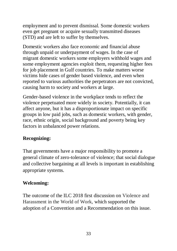employment and to prevent dismissal. Some domestic workers even get pregnant or acquire sexually transmitted diseases (STD) and are left to suffer by themselves.

Domestic workers also face economic and financial abuse through unpaid or underpayment of wages. In the case of migrant domestic workers some employers withhold wages and some employment agencies exploit them, requesting higher fees for job placement in Gulf countries. To make matters worse victims hide cases of gender based violence, and even when reported to various authorities the perpetrators are not convicted, causing harm to society and workers at large.

Gender-based violence in the workplace tends to reflect the violence perpetuated more widely in society. Potentially, it can affect anyone, but it has a disproportionate impact on specific groups in low paid jobs, such as domestic workers, with gender, race, ethnic origin, social background and poverty being key factors in unbalanced power relations.

#### **Recognizing:**

That governments have a major responsibility to promote a general climate of zero-tolerance of violence; that social dialogue and collective bargaining at all levels is important in establishing appropriate systems.

#### **Welcoming:**

The outcome of the ILC 2018 first discussion on Violence and Harassment in the World of Work, which supported the adoption of a Convention and a Recommendation on this issue.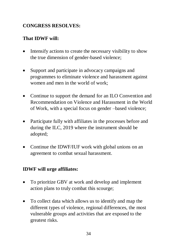#### **CONGRESS RESOLVES:**

### **That IDWF will:**

- Intensify actions to create the necessary visibility to show the true dimension of gender-based violence;
- Support and participate in advocacy campaigns and programmes to eliminate violence and harassment against women and men in the world of work;
- Continue to support the demand for an ILO Convention and Recommendation on Violence and Harassment in the World of Work, with a special focus on gender –based violence;
- Participate fully with affiliates in the processes before and during the ILC, 2019 where the instrument should be adopted;
- Continue the IDWF/IUF work with global unions on an agreement to combat sexual harassment.

#### **IDWF will urge affiliates:**

- To prioritize GBV at work and develop and implement action plans to truly combat this scourge;
- To collect data which allows us to identify and map the different types of violence, regional differences, the most vulnerable groups and activities that are exposed to the greatest risks.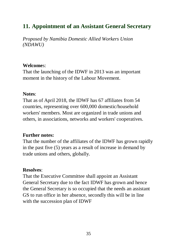# **11. Appointment of an Assistant General Secretary**

*Proposed by Namibia Domestic Allied Workers Union (NDAWU)*

#### **Welcome**s:

That the launching of the IDWF in 2013 was an important moment in the history of the Labour Movement.

#### **Notes**:

That as of April 2018, the IDWF has 67 affiliates from 54 countries, representing over 600,000 domestic/household workers' members. Most are organized in trade unions and others, in associations, networks and workers' cooperatives.

#### **Further notes:**

That the number of the affiliates of the IDWF has grown rapidly in the past five (5) years as a result of increase in demand by trade unions and others, globally.

#### **Resolves**:

That the Executive Committee shall appoint an Assistant General Secretary due to the fact IDWF has grown and hence the General Secretary is so occupied that the needs an assistant GS to run office in her absence, secondly this will be in line with the succession plan of IDWF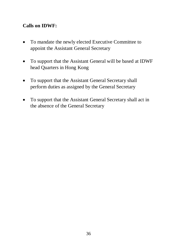#### **Calls on IDWF:**

- To mandate the newly elected Executive Committee to appoint the Assistant General Secretary
- To support that the Assistant General will be based at IDWF head Quarters in Hong Kong
- To support that the Assistant General Secretary shall perform duties as assigned by the General Secretary
- To support that the Assistant General Secretary shall act in the absence of the General Secretary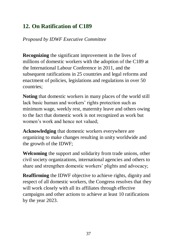# **12. On Ratification of C189**

*Proposed by IDWF Executive Committee*

**Recognizing** the significant improvement in the lives of millions of domestic workers with the adoption of the C189 at the International Labour Conference in 2011, and the subsequent ratifications in 25 countries and legal reforms and enactment of policies, legislations and regulations in over 50 countries;

**Noting** that domestic workers in many places of the world still lack basic human and workers' rights protection such as minimum wage, weekly rest, maternity leave and others owing to the fact that domestic work is not recognized as work but women's work and hence not valued;

**Acknowledging** that domestic workers everywhere are organizing to make changes resulting in unity worldwide and the growth of the IDWF;

**Welcoming** the support and solidarity from trade unions, other civil society organizations, international agencies and others to share and strengthen domestic workers' plights and advocacy;

**Reaffirming** the IDWF objective to achieve rights, dignity and respect of all domestic workers, the Congress resolves that they will work closely with all its affiliates through effective campaigns and other actions to achieve at least 10 ratifications by the year 2023.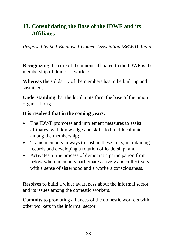# **13. Consolidating the Base of the IDWF and its Affiliates**

*Proposed by Self-Employed Women Association (SEWA), India*

**Recognizing** the core of the unions affiliated to the IDWF is the membership of domestic workers;

**Whereas** the solidarity of the members has to be built up and sustained;

**Understanding** that the local units form the base of the union organisations;

#### **It is resolved that in the coming years:**

- The IDWF promotes and implement measures to assist affiliates with knowledge and skills to build local units among the membership;
- Trains members in ways to sustain these units, maintaining records and developing a rotation of leadership; and
- Activates a true process of democratic participation from below where members participate actively and collectively with a sense of sisterhood and a workers consciousness.

**Resolves** to build a wider awareness about the informal sector and its issues among the domestic workers.

**Commits** to promoting alliances of the domestic workers with other workers in the informal sector.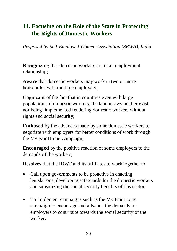# **14. Focusing on the Role of the State in Protecting the Rights of Domestic Workers**

*Proposed by Self-Employed Women Association (SEWA), India*

**Recognizing** that domestic workers are in an employment relationship;

**Aware** that domestic workers may work in two or more households with multiple employers;

**Cognizant** of the fact that in countries even with large populations of domestic workers, the labour laws neither exist nor being implemented rendering domestic workers without rights and social security;

**Enthused** by the advances made by some domestic workers to negotiate with employers for better conditions of work through the My Fair Home Campaign;

**Encouraged** by the positive reaction of some employers to the demands of the workers;

**Resolves** that the IDWF and its affiliates to work together to

- Call upon governments to be proactive in enacting legislations, developing safeguards for the domestic workers and subsidizing the social security benefits of this sector;
- To implement campaigns such as the My Fair Home campaign to encourage and advance the demands on employers to contribute towards the social security of the worker.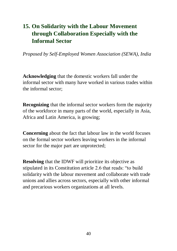# **15. On Solidarity with the Labour Movement through Collaboration Especially with the Informal Sector**

*Proposed by Self-Employed Women Association (SEWA), India*

**Acknowledging** that the domestic workers fall under the informal sector with many have worked in various trades within the informal sector;

**Recognizing** that the informal sector workers form the majority of the workforce in many parts of the world, especially in Asia, Africa and Latin America, is growing;

**Concerning** about the fact that labour law in the world focuses on the formal sector workers leaving workers in the informal sector for the major part are unprotected:

**Resolving** that the IDWF will prioritize its objective as stipulated in its Constitution article 2.6 that reads: "to build solidarity with the labour movement and collaborate with trade unions and allies across sectors, especially with other informal and precarious workers organizations at all levels.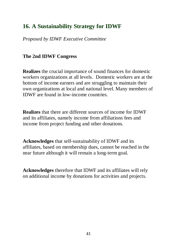# **16. A Sustainability Strategy for IDWF**

*Proposed by IDWF Executive Committee*

#### **The 2nd IDWF Congress**

**Realizes** the crucial importance of sound finances for domestic workers organizations at all levels. Domestic workers are at the bottom of income earners and are struggling to maintain their own organizations at local and national level. Many members of IDWF are found in low-income countries.

**Realizes** that there are different sources of income for IDWF and its affiliates, namely income from affiliations fees and income from project funding and other donations.

**Acknowledges** that self-sustainability of IDWF and its affiliates, based on membership dues, cannot be reached in the near future although it will remain a long-term goal.

**Acknowledges** therefore that IDWF and its affiliates will rely on additional income by donations for activities and projects.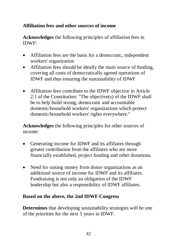#### **Affiliation fees and other sources of income**

**Acknowledges** the following principles of affiliation fees in IDWF:

- Affiliation fees are the basis for a democratic, independent workers' organization
- Affiliation fees should be ideally the main source of funding, covering all costs of democratically agreed operations of IDWF and thus ensuring the sustainability of IDWF
- Affiliation fees contribute to the IDWF objective in Article 2.1 of the Constitution: "The objective(s) of the IDWF shall be to help build strong, democratic and accountable domestic/household workers' organizations which protect domestic/household workers' rights everywhere."

**Acknowledges** the following principles for other sources of income:

- Generating income for IDWF and its affiliates through greater contribution from the affiliates who are more financially established, project funding and other donations.
- Need for raising money from donor organizations as an additional source of income for IDWF and its affiliates. Fundraising is not only an obligation of the IDWF leadership but also a responsibility of IDWF affiliates.

#### **Based on the above, the 2nd IDWF Congress**

**Determines** that developing sustainability strategies will be one of the priorities for the next 5 years in IDWF.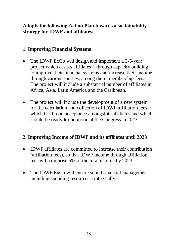#### **Adopts the following Action Plan towards a sustainability strategy for IDWF and affiliates:**

#### **1. Improving Financial Systems**

- The IDWF ExCo will design and implement a 3-5-year project which assists affiliates – through capacity building to improve their financial systems and increase their income through various sources, among them membership fees. The project will include a substantial number of affiliates in Africa, Asia, Latin America and the Caribbean.
- The project will include the development of a new system for the calculation and collection of IDWF affiliation fees, which has broad acceptance amongst its affiliates and which should be ready for adoption at the Congress in 2023.

#### **2. Improving Income of IDWF and its affiliates until 2023**

- IDWF affiliates are committed to increase their contribution (affiliation fees), so that IDWF income through affiliation fees will comprise 5% of the total income by 2023.
- The IDWF ExCo will ensure sound financial management, including spending resources strategically.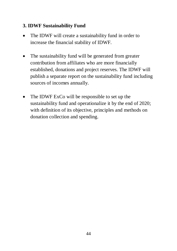#### **3. IDWF Sustainability Fund**

- The IDWF will create a sustainability fund in order to increase the financial stability of IDWF.
- The sustainability fund will be generated from greater contribution from affiliates who are more financially established, donations and project reserves. The IDWF will publish a separate report on the sustainability fund including sources of incomes annually.
- The IDWF ExCo will be responsible to set up the sustainability fund and operationalize it by the end of 2020; with definition of its objective, principles and methods on donation collection and spending.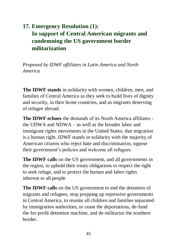# **17. Emergency Resolution (1): In support of Central American migrants and condemning the US government border militarization**

*Proposed by IDWF affiliates in Latin America and North America* 

**The IDWF stands** in solidarity with women, children, men, and families of Central America as they seek to build lives of dignity and security, in their home countries, and as migrants deserving of refugee abroad.

**The IDWF echoes** the demands of its North America affiliates the UDWA and NDWA – as well as the broader labor and immigrant rights movements in the United States, that migration is a human right. IDWF stands in solidarity with the majority of American citizens who reject hate and discrimination, oppose their government's policies and welcome all refugees

**The IDWF calls** on the US government, and all governments in the region, to uphold their treaty obligations to respect the right to seek refuge, and to protect the human and labor rights inherent to all people

**The IDWF calls** on the US government to end the detention of migrants and refugees, stop propping up repressive governments in Central America, to reunite all children and families separated by immigration authorities, to cease the deportations, de-fund the for-profit detention machine, and de-militarize the southern border.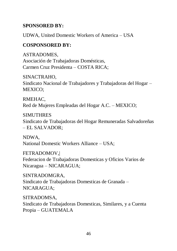#### **SPONSORED BY:**

UDWA, United Domestic Workers of America – USA

#### **COSPONSORED BY:**

ASTRADOMES, Asociación de Trabajadoras Domésticas, Carmen Cruz Presidenta – COSTA RICA;

SINACTRAHO, Sindicato Nacional de Trabajadores y Trabajadoras del Hogar – MEXICO;

RMEHAC, Red de Mujeres Empleadas del Hogar A.C. – MEXICO;

**SIMUTHRES** Sindicato de Trabajadoras del Hogar Remuneradas Salvadoreñas – EL SALVADOR;

NDWA, National Domestic Workers Alliance – USA;

FETRADOMOV,| Federacion de Trabajadoras Domesticas y Oficios Varios de Nicaragua – NICARAGUA;

SINTRADOMGRA, Sindicato de Trabajadoras Domesticas de Granada – NICARAGUA;

SITRADOMSA, Sindicato de Trabajadoras Domesticas, Similares, y a Cuenta Propia – GUATEMALA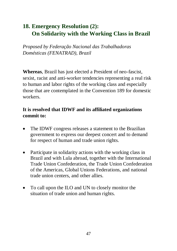# **18. Emergency Resolution (2): On Solidarity with the Working Class in Brazil**

*Proposed by Federação Nacional das Trabalhadoras Domésticas (FENATRAD), Brazil*

**Whereas**, Brazil has just elected a President of neo-fascist, sexist, racist and anti-worker tendencies representing a real risk to human and labor rights of the working class and especially those that are contemplated in the Convention 189 for domestic workers.

#### **It is resolved that IDWF and its affiliated organizations commit to:**

- The IDWF congress releases a statement to the Brazilian government to express our deepest concert and to demand for respect of human and trade union rights.
- Participate in solidarity actions with the working class in Brazil and with Lula abroad, together with the International Trade Union Confederation, the Trade Union Confederation of the Americas, Global Unions Federations, and national trade union centers, and other allies.
- To call upon the ILO and UN to closely monitor the situation of trade union and human rights.